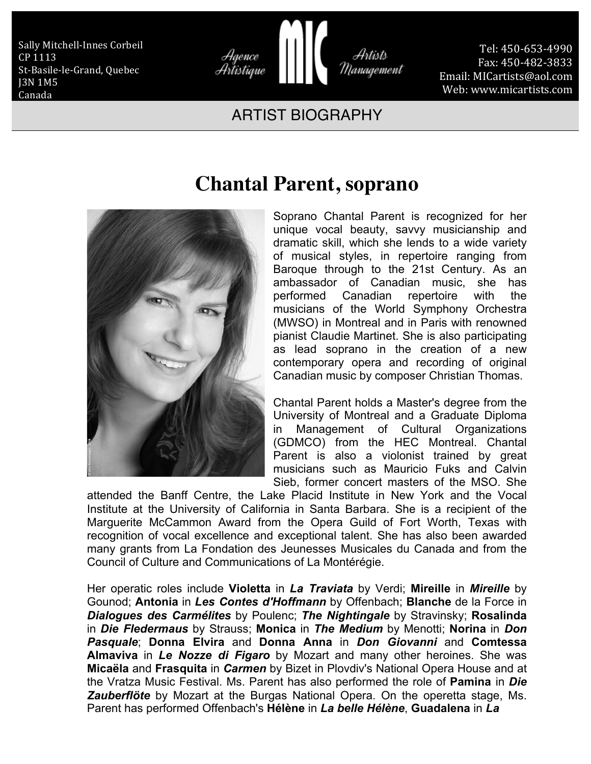Sally Mitchell-Innes Corbeil CP 1113 St-Basile-le-Grand, Quebec J3N 1M5 Canada



Tel: 450-653-4990 Fax: 450-482-3833 Email: MICartists@aol.com Web: www.micartists.com

## ARTIST BIOGRAPHY



## **Chantal Parent, soprano**

Soprano Chantal Parent is recognized for her unique vocal beauty, savvy musicianship and dramatic skill, which she lends to a wide variety of musical styles, in repertoire ranging from Baroque through to the 21st Century. As an ambassador of Canadian music, she has performed Canadian repertoire with the musicians of the World Symphony Orchestra (MWSO) in Montreal and in Paris with renowned pianist Claudie Martinet. She is also participating as lead soprano in the creation of a new contemporary opera and recording of original Canadian music by composer Christian Thomas.

Chantal Parent holds a Master's degree from the University of Montreal and a Graduate Diploma in Management of Cultural Organizations (GDMCO) from the HEC Montreal. Chantal Parent is also a violonist trained by great musicians such as Mauricio Fuks and Calvin Sieb, former concert masters of the MSO. She

attended the Banff Centre, the Lake Placid Institute in New York and the Vocal Institute at the University of California in Santa Barbara. She is a recipient of the Marguerite McCammon Award from the Opera Guild of Fort Worth, Texas with recognition of vocal excellence and exceptional talent. She has also been awarded many grants from La Fondation des Jeunesses Musicales du Canada and from the Council of Culture and Communications of La Montérégie.

Her operatic roles include **Violetta** in *La Traviata* by Verdi; **Mireille** in *Mireille* by Gounod; **Antonia** in *Les Contes d'Hoffmann* by Offenbach; **Blanche** de la Force in *Dialogues des Carmélites* by Poulenc; *The Nightingale* by Stravinsky; **Rosalinda** in *Die Fledermaus* by Strauss; **Monica** in *The Medium* by Menotti; **Norina** in *Don Pasquale*; **Donna Elvira** and **Donna Anna** in *Don Giovanni* and **Comtessa Almaviva** in *Le Nozze di Figaro* by Mozart and many other heroines. She was **Micaëla** and **Frasquita** in *Carmen* by Bizet in Plovdiv's National Opera House and at the Vratza Music Festival. Ms. Parent has also performed the role of **Pamina** in *Die Zauberflöte* by Mozart at the Burgas National Opera. On the operetta stage, Ms. Parent has performed Offenbach's **Hélène** in *La belle Hélène*, **Guadalena** in *La*